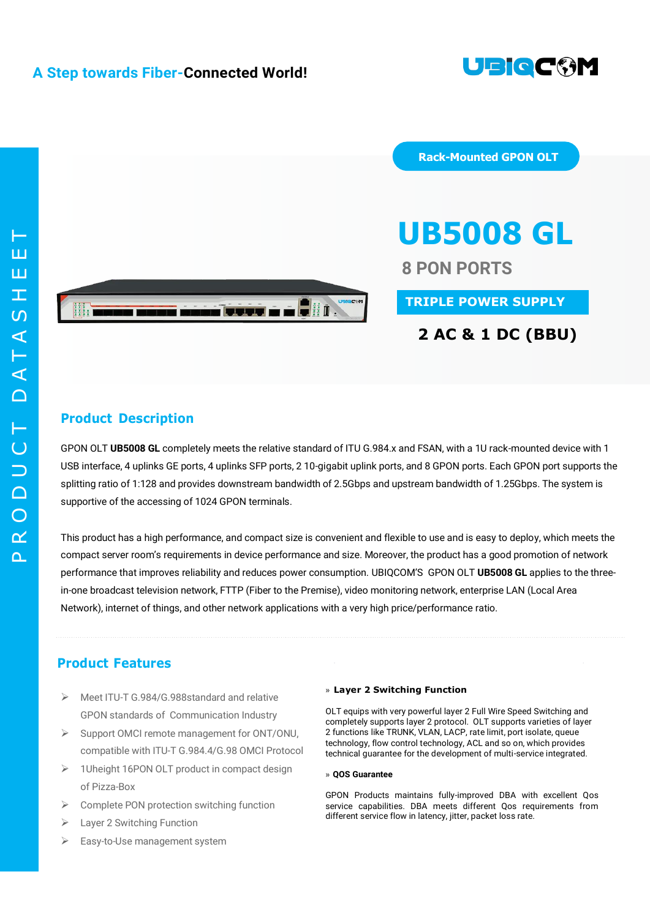

 $\Omega$  $\alpha$  $\bigcirc$  $\Box$  $\overline{\phantom{0}}$  $\overline{C}$ T  $\cap$  $\blacktriangleleft$ T  $\blacktriangleleft$  $\overline{S}$  $\top$ E $\mathbf \Xi$ T



**Rack-Mounted GPON OLT**

# **UB5008 GL**

**8 PON PORTS**

**TRIPLE POWER SUPPLY**

# **2 AC & 1 DC (BBU)**

## **Product Description**

GPON OLT **UB5008 GL** completely meets the relative standard of ITU G.984.x and FSAN, with a 1U rack-mounted device with 1 USB interface, 4 uplinks GE ports, 4 uplinks SFP ports, 2 10-gigabit uplink ports, and 8 GPON ports. Each GPON port supports the splitting ratio of 1:128 and provides downstream bandwidth of 2.5Gbps and upstream bandwidth of 1.25Gbps. The system is supportive of the accessing of 1024 GPON terminals.

This product has a high performance, and compact size is convenient and flexible to use and is easy to deploy, which meets the compact server room's requirements in device performance and size. Moreover, the product has a good promotion of network performance that improves reliability and reduces power consumption. UBIQCOM'S GPON OLT **UB5008 GL** applies to the threein-one broadcast television network, FTTP (Fiber to the Premise), video monitoring network, enterprise LAN (Local Area Network), internet of things, and other network applications with a very high price/performance ratio.

# **Product Features**

- Meet ITU-T G.984/G.988standard and relative GPON standards of Communication Industry
- $\triangleright$  Support OMCI remote management for ONT/ONU, compatible with ITU-T G.984.4/G.98 OMCI Protocol
- > 1Uheight 16PON OLT product in compact design of Pizza-Box
- $\triangleright$  Complete PON protection switching function
- $\triangleright$  Laver 2 Switching Function
- Easy-to-Use management system

#### **» Layer 2 Switching Function**

OLT equips with very powerful layer 2 Full Wire Speed Switching and completely supports layer 2 protocol. OLT supports varieties of layer 2 functions like TRUNK, VLAN, LACP, rate limit, port isolate, queue technology, flow control technology, ACL and so on, which provides technical guarantee for the development of multi-service integrated.

#### **» QOS Guarantee**

GPON Products maintains fully-improved DBA with excellent Qos service capabilities. DBA meets different Qos requirements from different service flow in latency, jitter, packet loss rate.